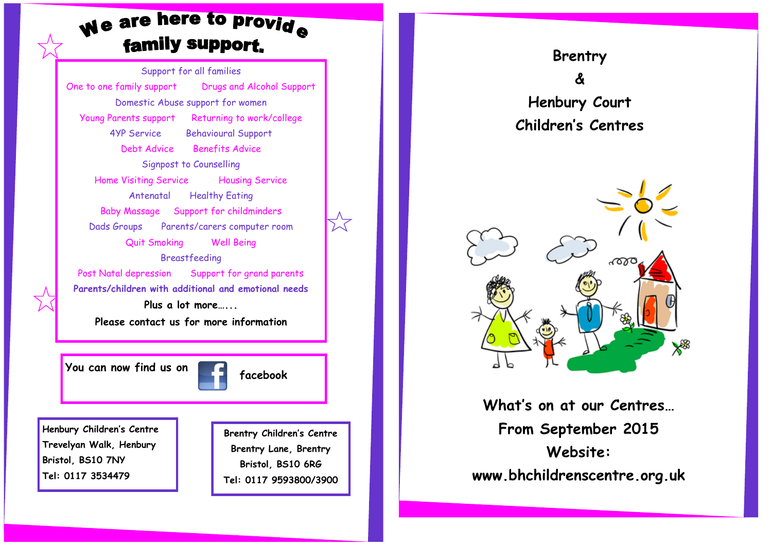# We are here to provide family support.

Support for all families One to one family support Drugs and Alcohol Support Domestic Abuse support for women Young Parents support Returning to work/college 4YP Service Behavioural Support Debt Advice Benefits Advice Signpost to Counselling Home Visiting Service Housing Service Antenatal Healthy Eating Baby Massage Support for childminders Dads Groups Parents/carers computer room Quit Smoking Well Being Breastfeeding Post Natal depression Support for grand parents **Parents/children with additional and emotional needs Plus a lot more…... Please contact us for more information**

**You can now find us on the facebook** 

**Henbury Children's Centre Trevelyan Walk, Henbury Bristol, BS10 7NY Tel: 0117 3534479**

**Brentry Children's Centre Brentry Lane, Brentry Bristol, BS10 6RG Tel: 0117 9593800/3900**





**What's on at our Centres… From September 2015 Website: www.bhchildrenscentre.org.uk**